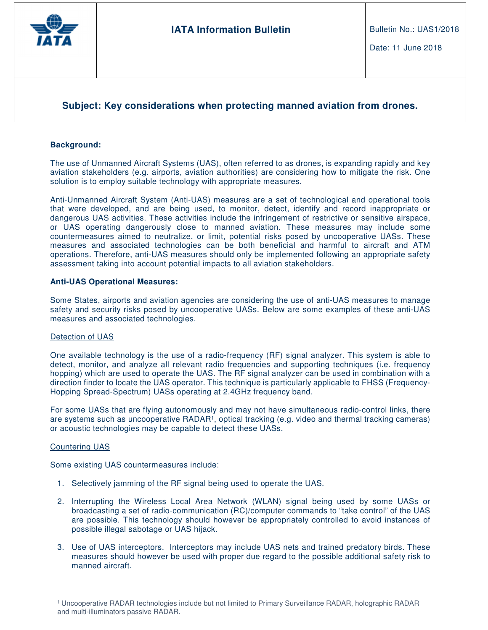

# **Subject: Key considerations when protecting manned aviation from drones.**

## **Background:**

The use of Unmanned Aircraft Systems (UAS), often referred to as drones, is expanding rapidly and key aviation stakeholders (e.g. airports, aviation authorities) are considering how to mitigate the risk. One solution is to employ suitable technology with appropriate measures.

Anti-Unmanned Aircraft System (Anti-UAS) measures are a set of technological and operational tools that were developed, and are being used, to monitor, detect, identify and record inappropriate or dangerous UAS activities. These activities include the infringement of restrictive or sensitive airspace, or UAS operating dangerously close to manned aviation. These measures may include some countermeasures aimed to neutralize, or limit, potential risks posed by uncooperative UASs. These measures and associated technologies can be both beneficial and harmful to aircraft and ATM operations. Therefore, anti-UAS measures should only be implemented following an appropriate safety assessment taking into account potential impacts to all aviation stakeholders.

#### **Anti-UAS Operational Measures:**

Some States, airports and aviation agencies are considering the use of anti-UAS measures to manage safety and security risks posed by uncooperative UASs. Below are some examples of these anti-UAS measures and associated technologies.

#### Detection of UAS

One available technology is the use of a radio-frequency (RF) signal analyzer. This system is able to detect, monitor, and analyze all relevant radio frequencies and supporting techniques (i.e. frequency hopping) which are used to operate the UAS. The RF signal analyzer can be used in combination with a direction finder to locate the UAS operator. This technique is particularly applicable to FHSS (Frequency-Hopping Spread-Spectrum) UASs operating at 2.4GHz frequency band.

For some UASs that are flying autonomously and may not have simultaneous radio-control links, there are systems such as uncooperative RADAR<sup>1</sup>, optical tracking (e.g. video and thermal tracking cameras) or acoustic technologies may be capable to detect these UASs.

#### Countering UAS

 $\overline{a}$ 

Some existing UAS countermeasures include:

- 1. Selectively jamming of the RF signal being used to operate the UAS.
- 2. Interrupting the Wireless Local Area Network (WLAN) signal being used by some UASs or broadcasting a set of radio-communication (RC)/computer commands to "take control" of the UAS are possible. This technology should however be appropriately controlled to avoid instances of possible illegal sabotage or UAS hijack.
- 3. Use of UAS interceptors. Interceptors may include UAS nets and trained predatory birds. These measures should however be used with proper due regard to the possible additional safety risk to manned aircraft.

<sup>1</sup>Uncooperative RADAR technologies include but not limited to Primary Surveillance RADAR, holographic RADAR and multi-illuminators passive RADAR.